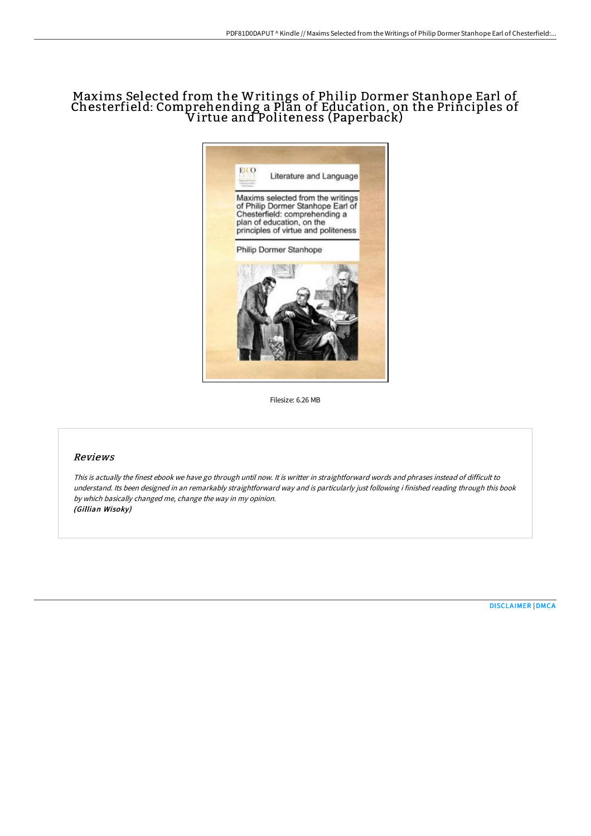# Maxims Selected from the Writings of Philip Dormer Stanhope Earl of Chesterfield: Comprehending a Plan of Education, on the Principles of Virtue and Politeness (Paperback)



Filesize: 6.26 MB

## Reviews

This is actually the finest ebook we have go through until now. It is writter in straightforward words and phrases instead of difficult to understand. Its been designed in an remarkably straightforward way and is particularly just following i finished reading through this book by which basically changed me, change the way in my opinion. (Gillian Wisoky)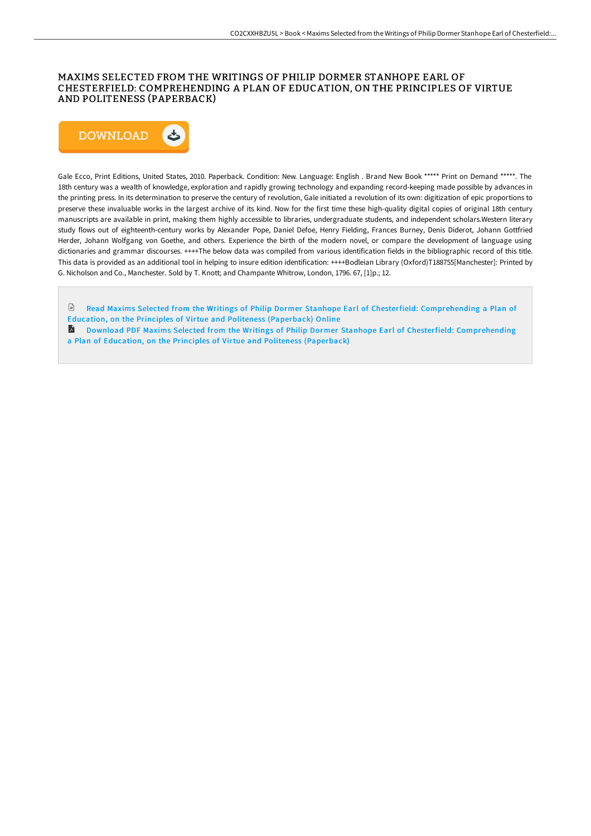## MAXIMS SELECTED FROM THE WRITINGS OF PHILIP DORMER STANHOPE EARL OF CHESTERFIELD: COMPREHENDING A PLAN OF EDUCATION, ON THE PRINCIPLES OF VIRTUE AND POLITENESS (PAPERBACK)



Gale Ecco, Print Editions, United States, 2010. Paperback. Condition: New. Language: English . Brand New Book \*\*\*\*\* Print on Demand \*\*\*\*\*. The 18th century was a wealth of knowledge, exploration and rapidly growing technology and expanding record-keeping made possible by advances in the printing press. In its determination to preserve the century of revolution, Gale initiated a revolution of its own: digitization of epic proportions to preserve these invaluable works in the largest archive of its kind. Now for the first time these high-quality digital copies of original 18th century manuscripts are available in print, making them highly accessible to libraries, undergraduate students, and independent scholars.Western literary study flows out of eighteenth-century works by Alexander Pope, Daniel Defoe, Henry Fielding, Frances Burney, Denis Diderot, Johann Gottfried Herder, Johann Wolfgang von Goethe, and others. Experience the birth of the modern novel, or compare the development of language using dictionaries and grammar discourses. ++++The below data was compiled from various identification fields in the bibliographic record of this title. This data is provided as an additional tool in helping to insure edition identification: ++++Bodleian Library (Oxford)T188755[Manchester]: Printed by G. Nicholson and Co., Manchester. Sold by T. Knott; and Champante Whitrow, London, 1796. 67, [1]p.; 12.

 $\mathbb{R}$ Read Maxims Selected from the Writings of Philip Dormer Stanhope Earl of Chesterfield: [Comprehending](http://techno-pub.tech/maxims-selected-from-the-writings-of-philip-dorm.html) a Plan of Education, on the Principles of Virtue and Politeness (Paperback) Online Download PDF Maxims Selected from the Writings of Philip Dormer Stanhope Earl of Chesterfield: [Comprehending](http://techno-pub.tech/maxims-selected-from-the-writings-of-philip-dorm.html) a Plan of Education, on the Principles of Virtue and Politeness (Paperback)